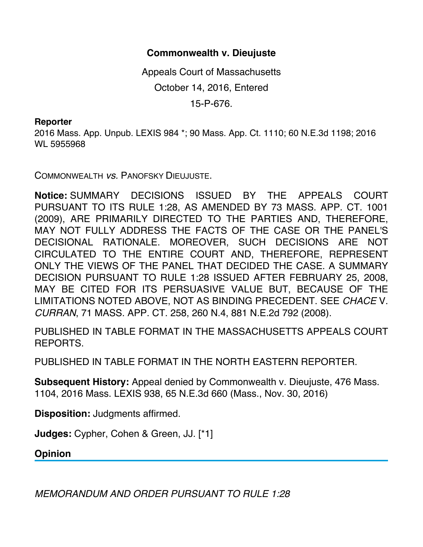## **Commonwealth v. Dieujuste**

Appeals Court of Massachusetts October 14, 2016, Entered 15-P-676.

## **Reporter**

2016 Mass. App. Unpub. LEXIS 984 \*; 90 Mass. App. Ct. 1110; 60 N.E.3d 1198; 2016 WL 5955968

COMMONWEALTH *vs.* PANOFSKY DIEUJUSTE.

**Notice:** SUMMARY DECISIONS ISSUED BY THE APPEALS COURT PURSUANT TO ITS RULE 1:28, AS AMENDED BY 73 MASS. APP. CT. 1001 (2009), ARE PRIMARILY DIRECTED TO THE PARTIES AND, THEREFORE, MAY NOT FULLY ADDRESS THE FACTS OF THE CASE OR THE PANEL'S DECISIONAL RATIONALE. MOREOVER, SUCH DECISIONS ARE NOT CIRCULATED TO THE ENTIRE COURT AND, THEREFORE, REPRESENT ONLY THE VIEWS OF THE PANEL THAT DECIDED THE CASE. A SUMMARY DECISION PURSUANT TO RULE 1:28 ISSUED AFTER FEBRUARY 25, 2008, MAY BE CITED FOR ITS PERSUASIVE VALUE BUT, BECAUSE OF THE LIMITATIONS NOTED ABOVE, NOT AS BINDING PRECEDENT. SEE *CHACE* V. *CURRAN*, 71 MASS. APP. CT. 258, 260 N.4, 881 N.E.2d 792 (2008).

PUBLISHED IN TABLE FORMAT IN THE MASSACHUSETTS APPEALS COURT REPORTS.

PUBLISHED IN TABLE FORMAT IN THE NORTH EASTERN REPORTER.

**Subsequent History:** Appeal denied by Commonwealth v. Dieujuste, 476 Mass. 1104, 2016 Mass. LEXIS 938, 65 N.E.3d 660 (Mass., Nov. 30, 2016)

**Disposition:** Judgments affirmed.

**Judges:** Cypher, Cohen & Green, JJ. [\*1]

**Opinion**

*MEMORANDUM AND ORDER PURSUANT TO RULE 1:28*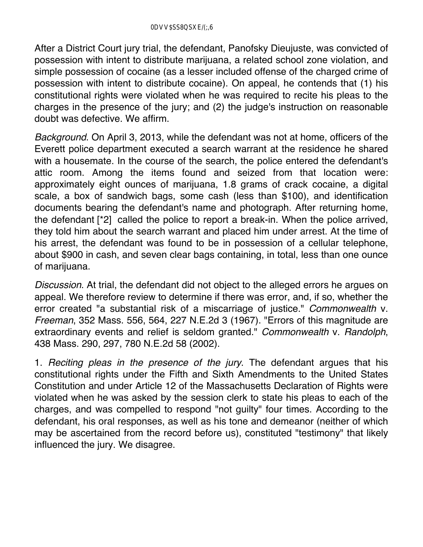After a District Court jury trial, the defendant, Panofsky Dieujuste, was convicted of possession with intent to distribute marijuana, a related school zone violation, and simple possession of cocaine (as a lesser included offense of the charged crime of possession with intent to distribute cocaine). On appeal, he contends that (1) his constitutional rights were violated when he was required to recite his pleas to the charges in the presence of the jury; and (2) the judge's instruction on reasonable doubt was defective. We affirm.

*Background*. On April 3, 2013, while the defendant was not at home, officers of the Everett police department executed a search warrant at the residence he shared with a housemate. In the course of the search, the police entered the defendant's attic room. Among the items found and seized from that location were: approximately eight ounces of marijuana, 1.8 grams of crack cocaine, a digital scale, a box of sandwich bags, some cash (less than \$100), and identification documents bearing the defendant's name and photograph. After returning home, the defendant [\*2] called the police to report a break-in. When the police arrived, they told him about the search warrant and placed him under arrest. At the time of his arrest, the defendant was found to be in possession of a cellular telephone, about \$900 in cash, and seven clear bags containing, in total, less than one ounce of marijuana.

*Discussion*. At trial, the defendant did not object to the alleged errors he argues on appeal. We therefore review to determine if there was error, and, if so, whether the error created "a substantial risk of a miscarriage of justice." *Commonwealth* v. *Freeman*, 352 Mass. 556, 564, 227 N.E.2d 3 (1967). "Errors of this magnitude are extraordinary events and relief is seldom granted." *Commonwealth* v. *Randolph*, 438 Mass. 290, 297, 780 N.E.2d 58 (2002).

1. *Reciting pleas in the presence of the jury*. The defendant argues that his constitutional rights under the Fifth and Sixth Amendments to the United States Constitution and under Article 12 of the Massachusetts Declaration of Rights were violated when he was asked by the session clerk to state his pleas to each of the charges, and was compelled to respond "not guilty" four times. According to the defendant, his oral responses, as well as his tone and demeanor (neither of which may be ascertained from the record before us), constituted "testimony" that likely influenced the jury. We disagree.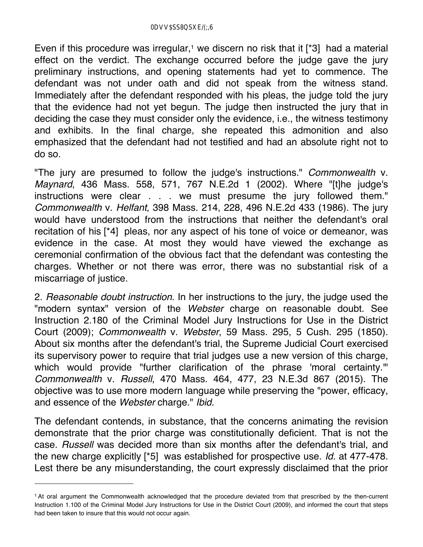Even if this procedure was irregular,<sup>1</sup> we discern no risk that it [ $*3$ ] had a material effect on the verdict. The exchange occurred before the judge gave the jury preliminary instructions, and opening statements had yet to commence. The defendant was not under oath and did not speak from the witness stand. Immediately after the defendant responded with his pleas, the judge told the jury that the evidence had not yet begun. The judge then instructed the jury that in deciding the case they must consider only the evidence, i.e., the witness testimony and exhibits. In the final charge, she repeated this admonition and also emphasized that the defendant had not testified and had an absolute right not to do so.

"The jury are presumed to follow the judge's instructions." *Commonwealth* v. *Maynard*, 436 Mass. 558, 571, 767 N.E.2d 1 (2002). Where "[t]he judge's instructions were clear . . . we must presume the jury followed them." *Commonwealth* v. *Helfant*, 398 Mass. 214, 228, 496 N.E.2d 433 (1986). The jury would have understood from the instructions that neither the defendant's oral recitation of his [\*4] pleas, nor any aspect of his tone of voice or demeanor, was evidence in the case. At most they would have viewed the exchange as ceremonial confirmation of the obvious fact that the defendant was contesting the charges. Whether or not there was error, there was no substantial risk of a miscarriage of justice.

2. *Reasonable doubt instruction*. In her instructions to the jury, the judge used the "modern syntax" version of the *Webster* charge on reasonable doubt. See Instruction 2.180 of the Criminal Model Jury Instructions for Use in the District Court (2009); *Commonwealth* v. *Webster*, 59 Mass. 295, 5 Cush. 295 (1850). About six months after the defendant's trial, the Supreme Judicial Court exercised its supervisory power to require that trial judges use a new version of this charge, which would provide "further clarification of the phrase 'moral certainty." *Commonwealth* v. *Russell*, 470 Mass. 464, 477, 23 N.E.3d 867 (2015). The objective was to use more modern language while preserving the "power, efficacy, and essence of the *Webster* charge." *Ibid.*

The defendant contends, in substance, that the concerns animating the revision demonstrate that the prior charge was constitutionally deficient. That is not the case. *Russell* was decided more than six months after the defendant's trial, and the new charge explicitly [\*5] was established for prospective use. *Id.* at 477-478. Lest there be any misunderstanding, the court expressly disclaimed that the prior

<sup>1</sup> At oral argument the Commonwealth acknowledged that the procedure deviated from that prescribed by the then-current Instruction 1.100 of the Criminal Model Jury Instructions for Use in the District Court (2009), and informed the court that steps had been taken to insure that this would not occur again.